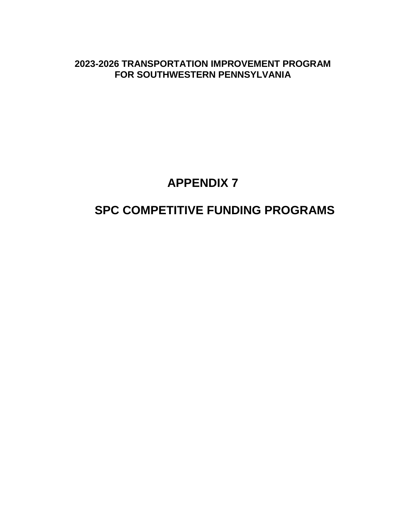**2023-2026 TRANSPORTATION IMPROVEMENT PROGRAM FOR SOUTHWESTERN PENNSYLVANIA**

## **APPENDIX 7**

# **SPC COMPETITIVE FUNDING PROGRAMS**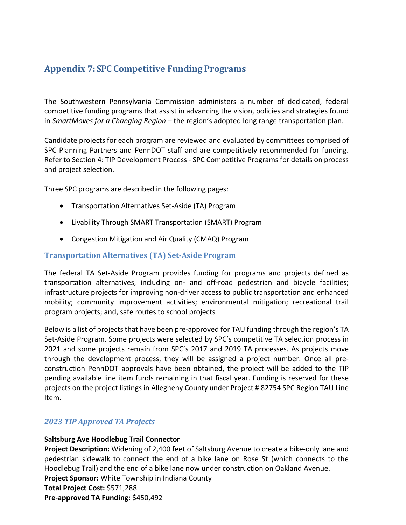## **Appendix 7: SPC Competitive Funding Programs**

The Southwestern Pennsylvania Commission administers a number of dedicated, federal competitive funding programs that assist in advancing the vision, policies and strategies found in *SmartMoves for a Changing Region* – the region's adopted long range transportation plan.

Candidate projects for each program are reviewed and evaluated by committees comprised of SPC Planning Partners and PennDOT staff and are competitively recommended for funding. Refer to Section 4: TIP Development Process - SPC Competitive Programs for details on process and project selection.

Three SPC programs are described in the following pages:

- Transportation Alternatives Set-Aside (TA) Program
- Livability Through SMART Transportation (SMART) Program
- Congestion Mitigation and Air Quality (CMAQ) Program

#### **Transportation Alternatives (TA) Set-Aside Program**

The federal TA Set-Aside Program provides funding for programs and projects defined as transportation alternatives, including on- and off-road pedestrian and bicycle facilities; infrastructure projects for improving non-driver access to public transportation and enhanced mobility; community improvement activities; environmental mitigation; recreational trail program projects; and, safe routes to school projects

Below is a list of projects that have been pre-approved for TAU funding through the region's TA Set-Aside Program. Some projects were selected by SPC's competitive TA selection process in 2021 and some projects remain from SPC's 2017 and 2019 TA processes. As projects move through the development process, they will be assigned a project number. Once all preconstruction PennDOT approvals have been obtained, the project will be added to the TIP pending available line item funds remaining in that fiscal year. Funding is reserved for these projects on the project listings in Allegheny County under Project # 82754 SPC Region TAU Line Item.

## *2023 TIP Approved TA Projects*

#### **Saltsburg Ave Hoodlebug Trail Connector**

**Project Description:** Widening of 2,400 feet of Saltsburg Avenue to create a bike-only lane and pedestrian sidewalk to connect the end of a bike lane on Rose St (which connects to the Hoodlebug Trail) and the end of a bike lane now under construction on Oakland Avenue. **Project Sponsor:** White Township in Indiana County

**Total Project Cost:** \$571,288

**Pre-approved TA Funding:** \$450,492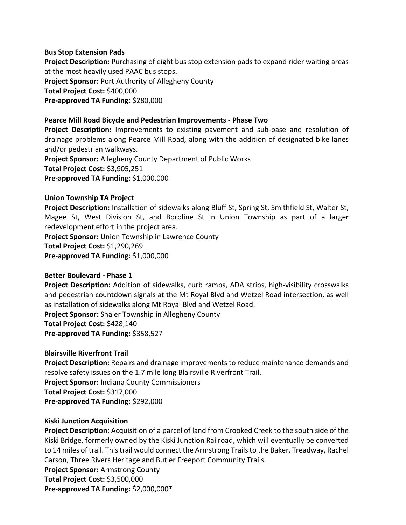#### **Bus Stop Extension Pads**

**Project Description:** Purchasing of eight bus stop extension pads to expand rider waiting areas at the most heavily used PAAC bus stops**. Project Sponsor:** Port Authority of Allegheny County **Total Project Cost:** \$400,000 **Pre-approved TA Funding:** \$280,000

#### **Pearce Mill Road Bicycle and Pedestrian Improvements - Phase Two**

**Project Description:** Improvements to existing pavement and sub-base and resolution of drainage problems along Pearce Mill Road, along with the addition of designated bike lanes and/or pedestrian walkways.

**Project Sponsor:** Allegheny County Department of Public Works **Total Project Cost:** \$3,905,251

**Pre-approved TA Funding:** \$1,000,000

#### **Union Township TA Project**

**Project Description:** Installation of sidewalks along Bluff St, Spring St, Smithfield St, Walter St, Magee St, West Division St, and Boroline St in Union Township as part of a larger redevelopment effort in the project area.

**Project Sponsor:** Union Township in Lawrence County

**Total Project Cost:** \$1,290,269

**Pre-approved TA Funding:** \$1,000,000

#### **Better Boulevard - Phase 1**

**Project Description:** Addition of sidewalks, curb ramps, ADA strips, high-visibility crosswalks and pedestrian countdown signals at the Mt Royal Blvd and Wetzel Road intersection, as well as installation of sidewalks along Mt Royal Blvd and Wetzel Road. **Project Sponsor:** Shaler Township in Allegheny County

**Total Project Cost:** \$428,140

**Pre-approved TA Funding:** \$358,527

#### **Blairsville Riverfront Trail**

**Project Description:** Repairs and drainage improvements to reduce maintenance demands and resolve safety issues on the 1.7 mile long Blairsville Riverfront Trail. **Project Sponsor:** Indiana County Commissioners **Total Project Cost:** \$317,000

**Pre-approved TA Funding:** \$292,000

#### **Kiski Junction Acquisition**

**Project Description:** Acquisition of a parcel of land from Crooked Creek to the south side of the Kiski Bridge, formerly owned by the Kiski Junction Railroad, which will eventually be converted to 14 miles of trail. This trail would connect the Armstrong Trails to the Baker, Treadway, Rachel Carson, Three Rivers Heritage and Butler Freeport Community Trails.

**Project Sponsor:** Armstrong County **Total Project Cost:** \$3,500,000

**Pre-approved TA Funding:** \$2,000,000\*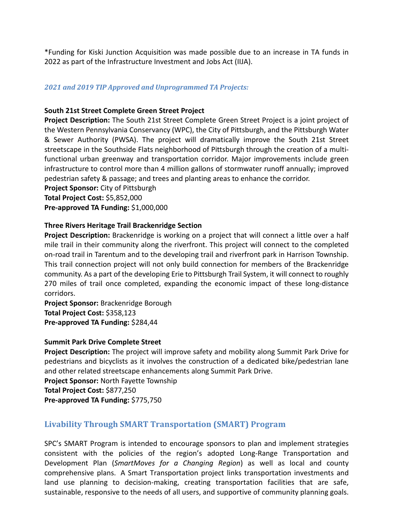\*Funding for Kiski Junction Acquisition was made possible due to an increase in TA funds in 2022 as part of the Infrastructure Investment and Jobs Act (IIJA).

#### *2021 and 2019 TIP Approved and Unprogrammed TA Projects:*

#### **South 21st Street Complete Green Street Project**

**Project Description:** The South 21st Street Complete Green Street Project is a joint project of the Western Pennsylvania Conservancy (WPC), the City of Pittsburgh, and the Pittsburgh Water & Sewer Authority (PWSA). The project will dramatically improve the South 21st Street streetscape in the Southside Flats neighborhood of Pittsburgh through the creation of a multifunctional urban greenway and transportation corridor. Major improvements include green infrastructure to control more than 4 million gallons of stormwater runoff annually; improved pedestrian safety & passage; and trees and planting areas to enhance the corridor.

**Project Sponsor:** City of Pittsburgh **Total Project Cost:** \$5,852,000

**Pre-approved TA Funding:** \$1,000,000

#### **Three Rivers Heritage Trail Brackenridge Section**

**Project Description:** Brackenridge is working on a project that will connect a little over a half mile trail in their community along the riverfront. This project will connect to the completed on-road trail in Tarentum and to the developing trail and riverfront park in Harrison Township. This trail connection project will not only build connection for members of the Brackenridge community. As a part of the developing Erie to Pittsburgh Trail System, it will connect to roughly 270 miles of trail once completed, expanding the economic impact of these long-distance corridors.

**Project Sponsor:** Brackenridge Borough **Total Project Cost:** \$358,123 **Pre-approved TA Funding:** \$284,44

#### **Summit Park Drive Complete Street**

**Project Description:** The project will improve safety and mobility along Summit Park Drive for pedestrians and bicyclists as it involves the construction of a dedicated bike/pedestrian lane and other related streetscape enhancements along Summit Park Drive.

**Project Sponsor:** North Fayette Township **Total Project Cost:** \$877,250 **Pre-approved TA Funding:** \$775,750

## **Livability Through SMART Transportation (SMART) Program**

SPC's SMART Program is intended to encourage sponsors to plan and implement strategies consistent with the policies of the region's adopted Long-Range Transportation and Development Plan (*SmartMoves for a Changing Region*) as well as local and county comprehensive plans. A Smart Transportation project links transportation investments and land use planning to decision-making, creating transportation facilities that are safe, sustainable, responsive to the needs of all users, and supportive of community planning goals.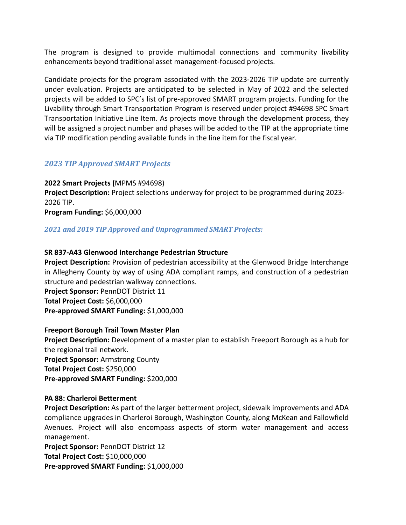The program is designed to provide multimodal connections and community livability enhancements beyond traditional asset management-focused projects.

Candidate projects for the program associated with the 2023-2026 TIP update are currently under evaluation. Projects are anticipated to be selected in May of 2022 and the selected projects will be added to SPC's list of pre-approved SMART program projects. Funding for the Livability through Smart Transportation Program is reserved under project #94698 SPC Smart Transportation Initiative Line Item. As projects move through the development process, they will be assigned a project number and phases will be added to the TIP at the appropriate time via TIP modification pending available funds in the line item for the fiscal year.

## *2023 TIP Approved SMART Projects*

**2022 Smart Projects (**MPMS #94698) **Project Description:** Project selections underway for project to be programmed during 2023- 2026 TIP.

**Program Funding:** \$6,000,000

#### *2021 and 2019 TIP Approved and Unprogrammed SMART Projects:*

#### **SR 837-A43 Glenwood Interchange Pedestrian Structure**

**Project Description:** Provision of pedestrian accessibility at the Glenwood Bridge Interchange in Allegheny County by way of using ADA compliant ramps, and construction of a pedestrian structure and pedestrian walkway connections.

**Project Sponsor:** PennDOT District 11 **Total Project Cost:** \$6,000,000 **Pre-approved SMART Funding:** \$1,000,000

#### **Freeport Borough Trail Town Master Plan**

**Project Description:** Development of a master plan to establish Freeport Borough as a hub for the regional trail network. **Project Sponsor:** Armstrong County **Total Project Cost:** \$250,000 **Pre-approved SMART Funding:** \$200,000

#### **PA 88: Charleroi Betterment**

**Project Description:** As part of the larger betterment project, sidewalk improvements and ADA compliance upgrades in Charleroi Borough, Washington County, along McKean and Fallowfield Avenues. Project will also encompass aspects of storm water management and access management.

**Project Sponsor:** PennDOT District 12 **Total Project Cost:** \$10,000,000 **Pre-approved SMART Funding:** \$1,000,000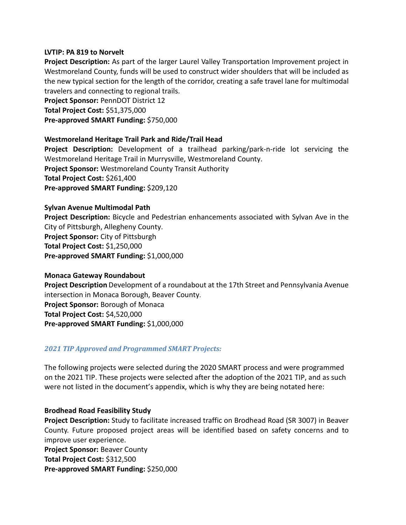#### **LVTIP: PA 819 to Norvelt**

**Project Description:** As part of the larger Laurel Valley Transportation Improvement project in Westmoreland County, funds will be used to construct wider shoulders that will be included as the new typical section for the length of the corridor, creating a safe travel lane for multimodal travelers and connecting to regional trails.

**Project Sponsor:** PennDOT District 12 **Total Project Cost:** \$51,375,000 **Pre-approved SMART Funding:** \$750,000

#### **Westmoreland Heritage Trail Park and Ride/Trail Head**

**Project Description:** Development of a trailhead parking/park-n-ride lot servicing the Westmoreland Heritage Trail in Murrysville, Westmoreland County. **Project Sponsor:** Westmoreland County Transit Authority **Total Project Cost:** \$261,400 **Pre-approved SMART Funding:** \$209,120

#### **Sylvan Avenue Multimodal Path**

**Project Description:** Bicycle and Pedestrian enhancements associated with Sylvan Ave in the City of Pittsburgh, Allegheny County. **Project Sponsor:** City of Pittsburgh **Total Project Cost:** \$1,250,000 **Pre-approved SMART Funding:** \$1,000,000

#### **Monaca Gateway Roundabout**

**Project Description** Development of a roundabout at the 17th Street and Pennsylvania Avenue intersection in Monaca Borough, Beaver County. **Project Sponsor:** Borough of Monaca **Total Project Cost:** \$4,520,000 **Pre-approved SMART Funding:** \$1,000,000

#### *2021 TIP Approved and Programmed SMART Projects:*

The following projects were selected during the 2020 SMART process and were programmed on the 2021 TIP. These projects were selected after the adoption of the 2021 TIP, and as such were not listed in the document's appendix, which is why they are being notated here:

#### **Brodhead Road Feasibility Study**

**Project Description:** Study to facilitate increased traffic on Brodhead Road (SR 3007) in Beaver County. Future proposed project areas will be identified based on safety concerns and to improve user experience.

**Project Sponsor:** Beaver County

**Total Project Cost:** \$312,500

**Pre-approved SMART Funding:** \$250,000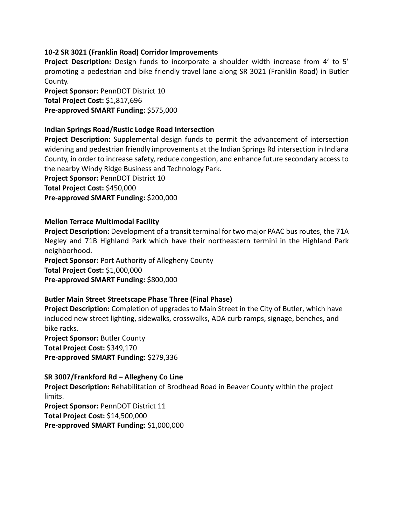#### **10-2 SR 3021 (Franklin Road) Corridor Improvements**

**Project Description:** Design funds to incorporate a shoulder width increase from 4' to 5' promoting a pedestrian and bike friendly travel lane along SR 3021 (Franklin Road) in Butler County.

**Project Sponsor:** PennDOT District 10 **Total Project Cost:** \$1,817,696 **Pre-approved SMART Funding:** \$575,000

#### **Indian Springs Road/Rustic Lodge Road Intersection**

**Project Description:** Supplemental design funds to permit the advancement of intersection widening and pedestrian friendly improvements at the Indian Springs Rd intersection in Indiana County, in order to increase safety, reduce congestion, and enhance future secondary access to the nearby Windy Ridge Business and Technology Park.

**Project Sponsor:** PennDOT District 10 **Total Project Cost:** \$450,000 **Pre-approved SMART Funding:** \$200,000

#### **Mellon Terrace Multimodal Facility**

**Project Description:** Development of a transit terminal for two major PAAC bus routes, the 71A Negley and 71B Highland Park which have their northeastern termini in the Highland Park neighborhood.

**Project Sponsor:** Port Authority of Allegheny County **Total Project Cost:** \$1,000,000 **Pre-approved SMART Funding:** \$800,000

#### **Butler Main Street Streetscape Phase Three (Final Phase)**

**Project Description:** Completion of upgrades to Main Street in the City of Butler, which have included new street lighting, sidewalks, crosswalks, ADA curb ramps, signage, benches, and bike racks.

**Project Sponsor:** Butler County **Total Project Cost:** \$349,170 **Pre-approved SMART Funding:** \$279,336

## **SR 3007/Frankford Rd – Allegheny Co Line Project Description:** Rehabilitation of Brodhead Road in Beaver County within the project

limits. **Project Sponsor:** PennDOT District 11 **Total Project Cost:** \$14,500,000 **Pre-approved SMART Funding:** \$1,000,000